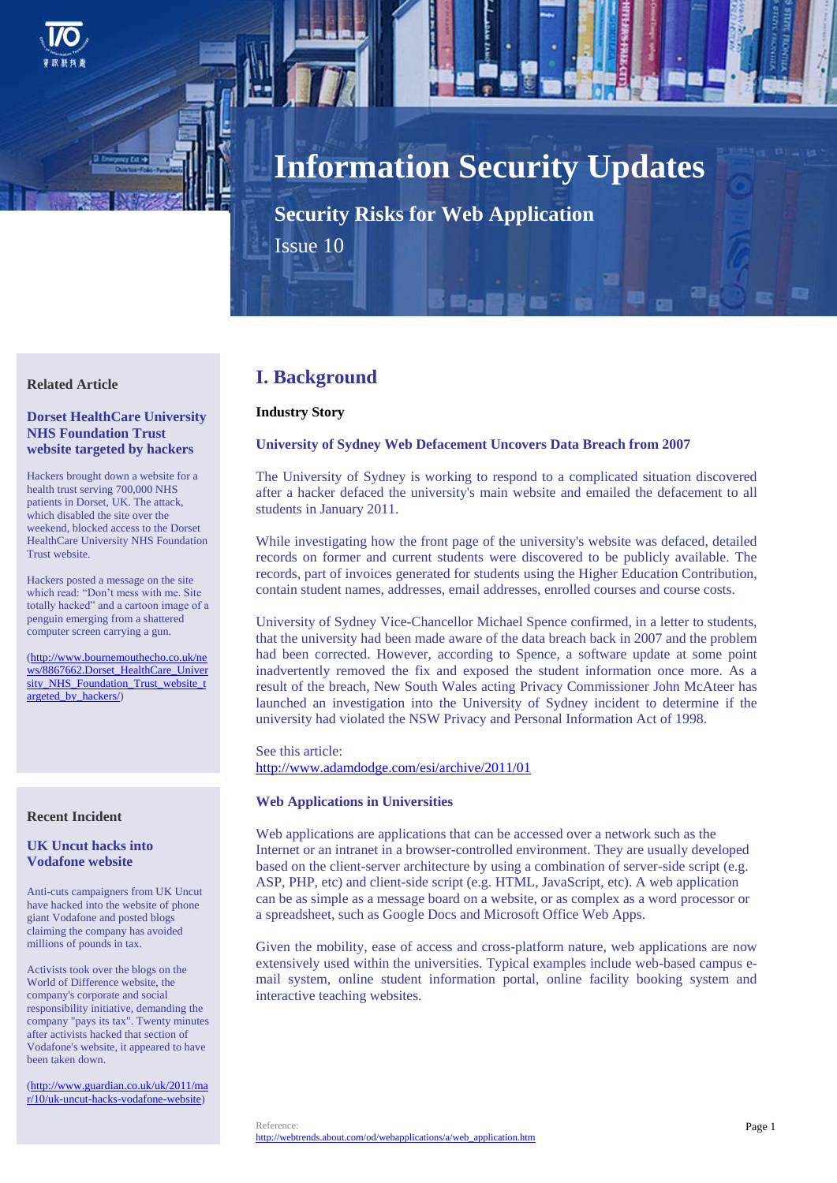

# **Information Security Updates**

**Security Risks for Web Application**

Issue 10

# **Related Article**

## **Dorset HealthCare University NHS Foundation Trust website targeted by hackers**

Hackers brought down a website for a health trust serving 700,000 NHS patients in Dorset, UK. The attack, which disabled the site over the weekend, blocked access to the Dorset HealthCare University NHS Foundation Trust website.

Hackers posted a message on the site which read: "Don't mess with me. Site totally hacked" and a cartoon image of a penguin emerging from a shattered computer screen carrying a gun.

[\(http://www.bournemouthecho.co.uk/ne](http://www.bournemouthecho.co.uk/news/8867662.Dorset_HealthCare_University_NHS_Foundation_Trust_website_targeted_by_hackers/) [ws/8867662.Dorset\\_HealthCare\\_Univer](http://www.bournemouthecho.co.uk/news/8867662.Dorset_HealthCare_University_NHS_Foundation_Trust_website_targeted_by_hackers/) [sity\\_NHS\\_Foundation\\_Trust\\_website\\_t](http://www.bournemouthecho.co.uk/news/8867662.Dorset_HealthCare_University_NHS_Foundation_Trust_website_targeted_by_hackers/) [argeted\\_by\\_hackers/\)](http://www.bournemouthecho.co.uk/news/8867662.Dorset_HealthCare_University_NHS_Foundation_Trust_website_targeted_by_hackers/)

#### **Recent Incident**

## **UK Uncut hacks into Vodafone website**

Anti-cuts campaigners from UK Uncut have hacked into the website of phone giant Vodafone and posted blogs claiming the company has avoided millions of pounds in tax.

Activists took over the blogs on the World of Difference website, the company's corporate and social responsibility initiative, demanding the company "pays its tax". Twenty minutes after activists hacked that section of Vodafone's website, it appeared to have been taken down.

[\(http://www.guardian.co.uk/uk/2011/ma](http://www.guardian.co.uk/uk/2011/mar/10/uk-uncut-hacks-vodafone-website) [r/10/uk-uncut-hacks-vodafone-website\)](http://www.guardian.co.uk/uk/2011/mar/10/uk-uncut-hacks-vodafone-website)

# **I. Background**

# **Industry Story**

## **University of Sydney Web Defacement Uncovers Data Breach from 2007**

The University of Sydney is working to respond to a complicated situation discovered after a hacker defaced the university's main website and emailed the defacement to all students in January 2011.

While investigating how the front page of the university's website was defaced, detailed records on former and current students were discovered to be publicly available. The records, part of invoices generated for students using the Higher Education Contribution, contain student names, addresses, email addresses, enrolled courses and course costs.

University of Sydney Vice-Chancellor Michael Spence confirmed, in a letter to students, that the university had been made aware of the data breach back in 2007 and the problem had been corrected. However, according to Spence, a software update at some point inadvertently removed the fix and exposed the student information once more. As a result of the breach, New South Wales acting Privacy Commissioner John McAteer has launched an investigation into the University of Sydney incident to determine if the university had violated the NSW Privacy and Personal Information Act of 1998.

See this article: <http://www.adamdodge.com/esi/archive/2011/01>

#### **Web Applications in Universities**

Web applications are applications that can be accessed over a network such as the Internet or an intranet in a browser-controlled environment. They are usually developed based on the client-server architecture by using a combination of server-side script (e.g. ASP, PHP, etc) and client-side script (e.g. HTML, JavaScript, etc). A web application can be as simple as a message board on a website, or as complex as a word processor or a spreadsheet, such as Google Docs and Microsoft Office Web Apps.

Given the mobility, ease of access and cross-platform nature, web applications are now extensively used within the universities. Typical examples include web-based campus email system, online student information portal, online facility booking system and interactive teaching websites.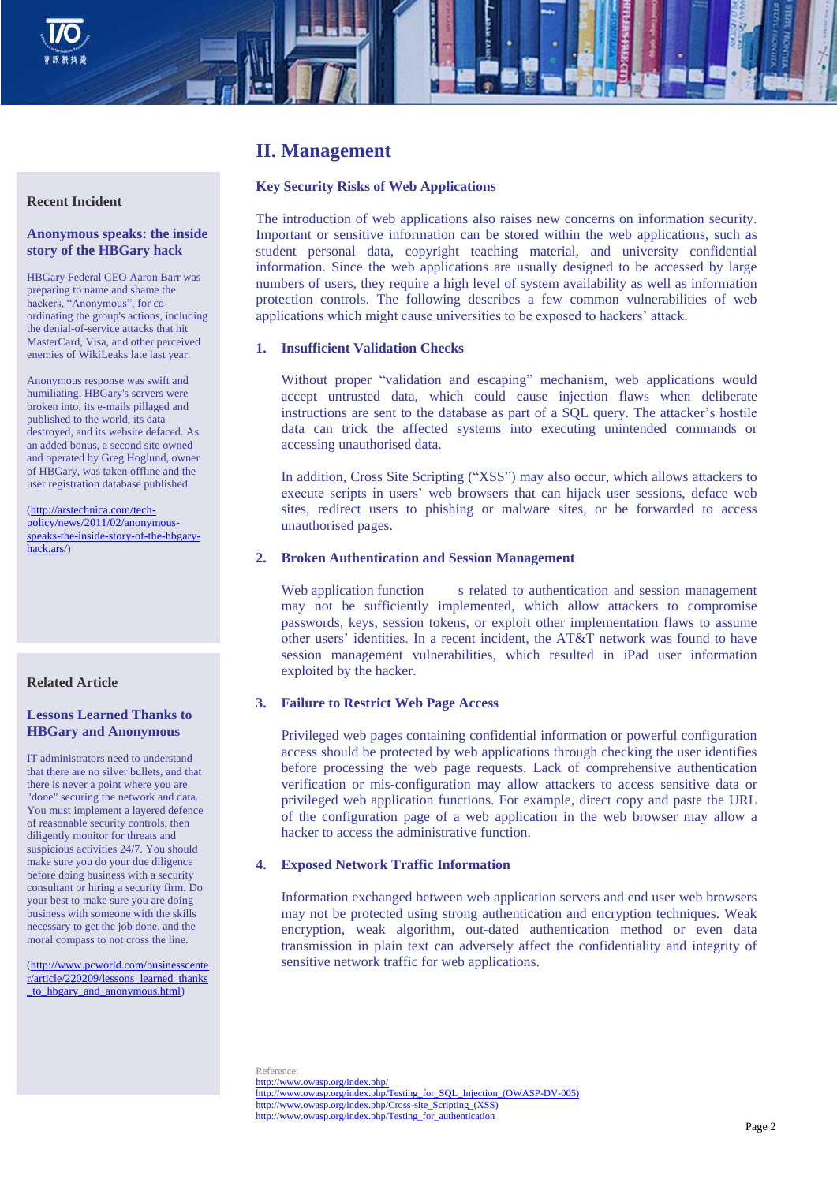

# **II. Management**

## **Key Security Risks of Web Applications**

The introduction of web applications also raises new concerns on information security. Important or sensitive information can be stored within the web applications, such as student personal data, copyright teaching material, and university confidential information. Since the web applications are usually designed to be accessed by large numbers of users, they require a high level of system availability as well as information protection controls. The following describes a few common vulnerabilities of web applications which might cause universities to be exposed to hackers' attack.

#### **1. Insufficient Validation Checks**

Without proper "validation and escaping" mechanism, web applications would accept untrusted data, which could cause injection flaws when deliberate instructions are sent to the database as part of a SQL query. The attacker's hostile data can trick the affected systems into executing unintended commands or accessing unauthorised data.

In addition, Cross Site Scripting ("XSS") may also occur, which allows attackers to execute scripts in users' web browsers that can hijack user sessions, deface web sites, redirect users to phishing or malware sites, or be forwarded to access unauthorised pages.

#### **2. Broken Authentication and Session Management**

Web application function s related to authentication and session management may not be sufficiently implemented, which allow attackers to compromise passwords, keys, session tokens, or exploit other implementation flaws to assume other users' identities. In a recent incident, the AT&T network was found to have session management vulnerabilities, which resulted in iPad user information exploited by the hacker.

# **3. Failure to Restrict Web Page Access**

Privileged web pages containing confidential information or powerful configuration access should be protected by web applications through checking the user identifies before processing the web page requests. Lack of comprehensive authentication verification or mis-configuration may allow attackers to access sensitive data or privileged web application functions. For example, direct copy and paste the URL of the configuration page of a web application in the web browser may allow a hacker to access the administrative function.

#### **4. Exposed Network Traffic Information**

Information exchanged between web application servers and end user web browsers may not be protected using strong authentication and encryption techniques. Weak encryption, weak algorithm, out-dated authentication method or even data transmission in plain text can adversely affect the confidentiality and integrity of sensitive network traffic for web applications.

Reference:

<http://www.owasp.org/index.php/> http://www.owasp.org/index.php/Testing\_for\_SOL\_Injection\_(OWASP-DV-005) [http://www.owasp.org/index.php/Cross-site\\_Scripting\\_\(XSS\)](http://www.owasp.org/index.php/Cross-site_Scripting_(XSS)) [http://www.owasp.org/index.php/Testing\\_for\\_authentication](http://www.owasp.org/index.php/Testing_for_authentication)

#### **Recent Incident**

## **Anonymous speaks: the inside story of the HBGary hack**

HBGary Federal CEO Aaron Barr was preparing to name and shame the hackers, "Anonymous", for coordinating the group's actions, including the denial-of-service attacks that hit MasterCard, Visa, and other perceived enemies of WikiLeaks late last year.

Anonymous response was swift and humiliating. HBGary's servers were broken into, its e-mails pillaged and published to the world, its data destroyed, and its website defaced. As an added bonus, a second site owned and operated by Greg Hoglund, owner of HBGary, was taken offline and the user registration database published.

[\(http://arstechnica.com/tech](http://arstechnica.com/tech-policy/news/2011/02/anonymous-speaks-the-inside-story-of-the-hbgary-hack.ars/)[policy/news/2011/02/anonymous](http://arstechnica.com/tech-policy/news/2011/02/anonymous-speaks-the-inside-story-of-the-hbgary-hack.ars/)[speaks-the-inside-story-of-the-hbgary](http://arstechnica.com/tech-policy/news/2011/02/anonymous-speaks-the-inside-story-of-the-hbgary-hack.ars/)[hack.ars/\)](http://arstechnica.com/tech-policy/news/2011/02/anonymous-speaks-the-inside-story-of-the-hbgary-hack.ars/)

# **Related Article**

# **Lessons Learned Thanks to HBGary and Anonymous**

IT administrators need to understand that there are no silver bullets, and that there is never a point where you are "done" securing the network and data. You must implement a layered defence of reasonable security controls, then diligently monitor for threats and suspicious activities 24/7. You should make sure you do your due diligence before doing business with a security consultant or hiring a security firm. Do your best to make sure you are doing business with someone with the skills necessary to get the job done, and the moral compass to not cross the line.

[\(http://www.pcworld.com/businesscente](http://www.pcworld.com/businesscenter/article/220209/lessons_learned_thanks_to_hbgary_and_anonymous.html) [r/article/220209/lessons\\_learned\\_thanks](http://www.pcworld.com/businesscenter/article/220209/lessons_learned_thanks_to_hbgary_and_anonymous.html) to\_hbgary\_and\_anonymous.html)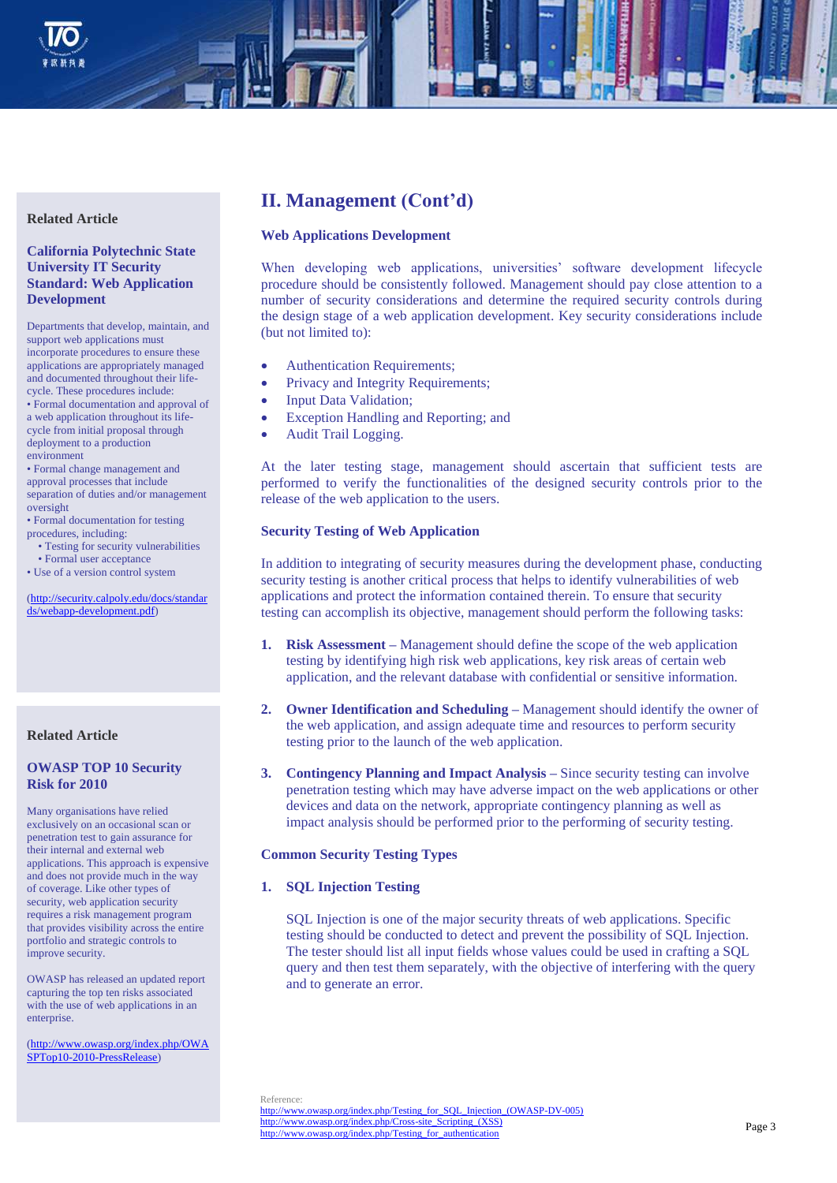

# **Related Article**

**California Polytechnic State University IT Security Standard: Web Application Development**

Departments that develop, maintain, and support web applications must incorporate procedures to ensure these applications are appropriately managed and documented throughout their lifecycle. These procedures include: • Formal documentation and approval of a web application throughout its lifecycle from initial proposal through deployment to a production environment

• Formal change management and approval processes that include separation of duties and/or management oversight

• Formal documentation for testing procedures, including:

- Testing for security vulnerabilities
- Formal user acceptance

• Use of a version control system

[\(http://security.calpoly.edu/docs/standar](http://security.calpoly.edu/docs/standards/webapp-development.pdf) [ds/webapp-development.pdf\)](http://security.calpoly.edu/docs/standards/webapp-development.pdf)

#### **Related Article**

## **OWASP TOP 10 Security Risk for 2010**

Many organisations have relied exclusively on an occasional scan or penetration test to gain assurance for their internal and external web applications. This approach is expensive and does not provide much in the way of coverage. Like other types of security, web application security requires a risk management program that provides visibility across the entire portfolio and strategic controls to improve security.

OWASP has released an updated report capturing the top ten risks associated with the use of web applications in an enterprise.

[\(http://www.owasp.org/index.php/OWA](http://www.owasp.org/index.php/OWASPTop10-2010-PressRelease) [SPTop10-2010-PressRelease\)](http://www.owasp.org/index.php/OWASPTop10-2010-PressRelease)

# **II. Management (Cont'd)**

#### **Web Applications Development**

When developing web applications, universities' software development lifecycle procedure should be consistently followed. Management should pay close attention to a number of security considerations and determine the required security controls during the design stage of a web application development. Key security considerations include (but not limited to):

- Authentication Requirements;
- Privacy and Integrity Requirements;
- Input Data Validation;
- Exception Handling and Reporting; and
- Audit Trail Logging.

At the later testing stage, management should ascertain that sufficient tests are performed to verify the functionalities of the designed security controls prior to the release of the web application to the users.

#### **Security Testing of Web Application**

In addition to integrating of security measures during the development phase, conducting security testing is another critical process that helps to identify vulnerabilities of web applications and protect the information contained therein. To ensure that security testing can accomplish its objective, management should perform the following tasks:

- **1. Risk Assessment –** Management should define the scope of the web application testing by identifying high risk web applications, key risk areas of certain web application, and the relevant database with confidential or sensitive information.
- **2. Owner Identification and Scheduling –** Management should identify the owner of the web application, and assign adequate time and resources to perform security testing prior to the launch of the web application.
- **3. Contingency Planning and Impact Analysis –** Since security testing can involve penetration testing which may have adverse impact on the web applications or other devices and data on the network, appropriate contingency planning as well as impact analysis should be performed prior to the performing of security testing.

#### **Common Security Testing Types**

**1. SQL Injection Testing**

SQL Injection is one of the major security threats of web applications. Specific testing should be conducted to detect and prevent the possibility of SQL Injection. The tester should list all input fields whose values could be used in crafting a SQL query and then test them separately, with the objective of interfering with the query and to generate an error.

Reference:

[http://www.owasp.org/index.php/Testing\\_for\\_SQL\\_Injection\\_\(OWASP-DV-005\)](http://www.owasp.org/index.php/Testing_for_SQL_Injection_(OWASP-DV-005)) [http://www.owasp.org/index.php/Cross-site\\_Scripting\\_\(XSS\)](http://www.owasp.org/index.php/Cross-site_Scripting_(XSS)) [http://www.owasp.org/index.php/Testing\\_for\\_authentication](http://www.owasp.org/index.php/Testing_for_authentication)